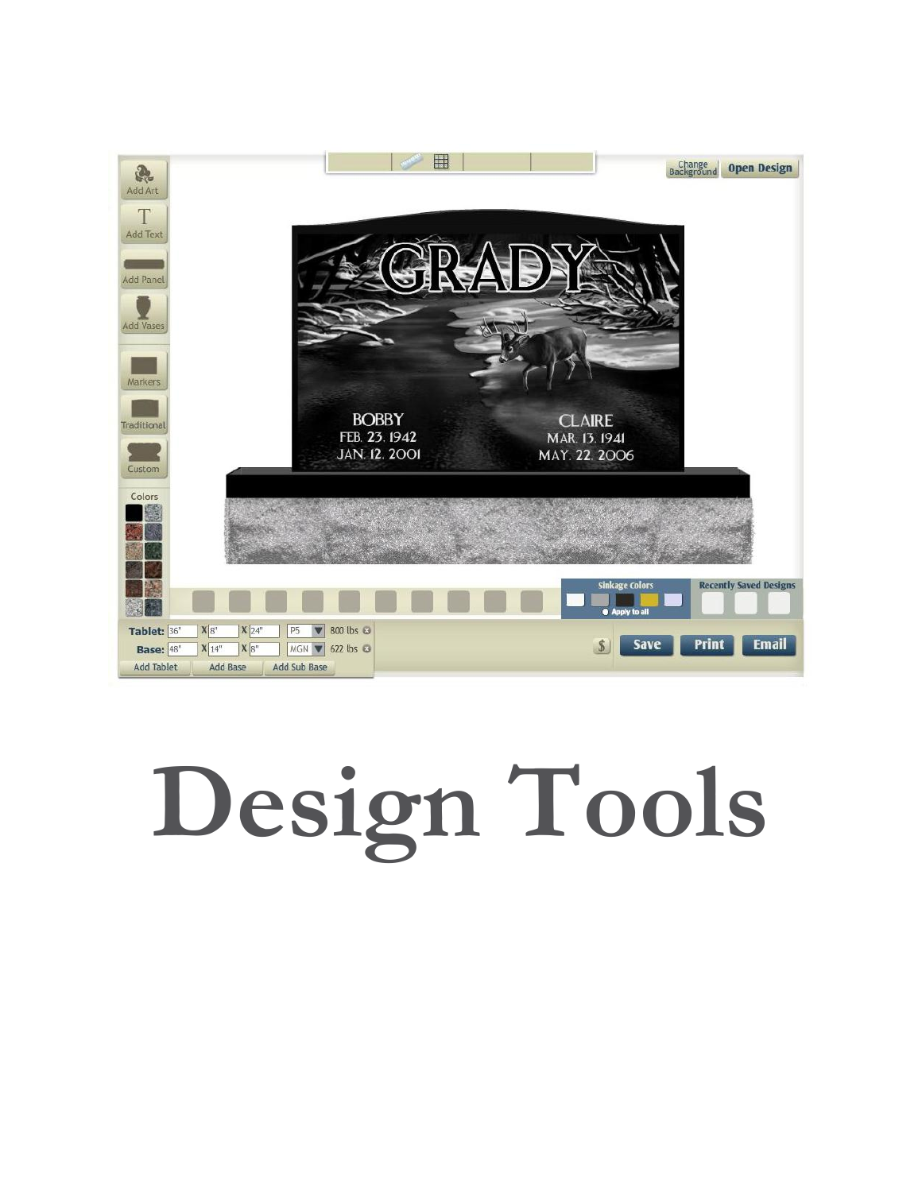### 田 **Change Open Design** R Add Art T Add Text r – Add Panel **Add Vases** Markers **BOBBY CLAIRE** Traditional FEB. 23. 1942 MAR. 13. 1941 MAY. 22. 2006 **JAN. 12. 2001** Custom Colors inkage Colors **Recently Saved Designs** P5 **V** 800 lbs © Tablet: 36"  $X_8$  $X$   $24"$ Print **Email Save**  $S$ **Base:** 48"  $\mathbf{X}$   $\boxed{14"}$   $\mathbf{X}$   $\boxed{8"}$ MGN V 622 lbs **Add Tablet** Add Base Add Sub Base

# **Design Tools**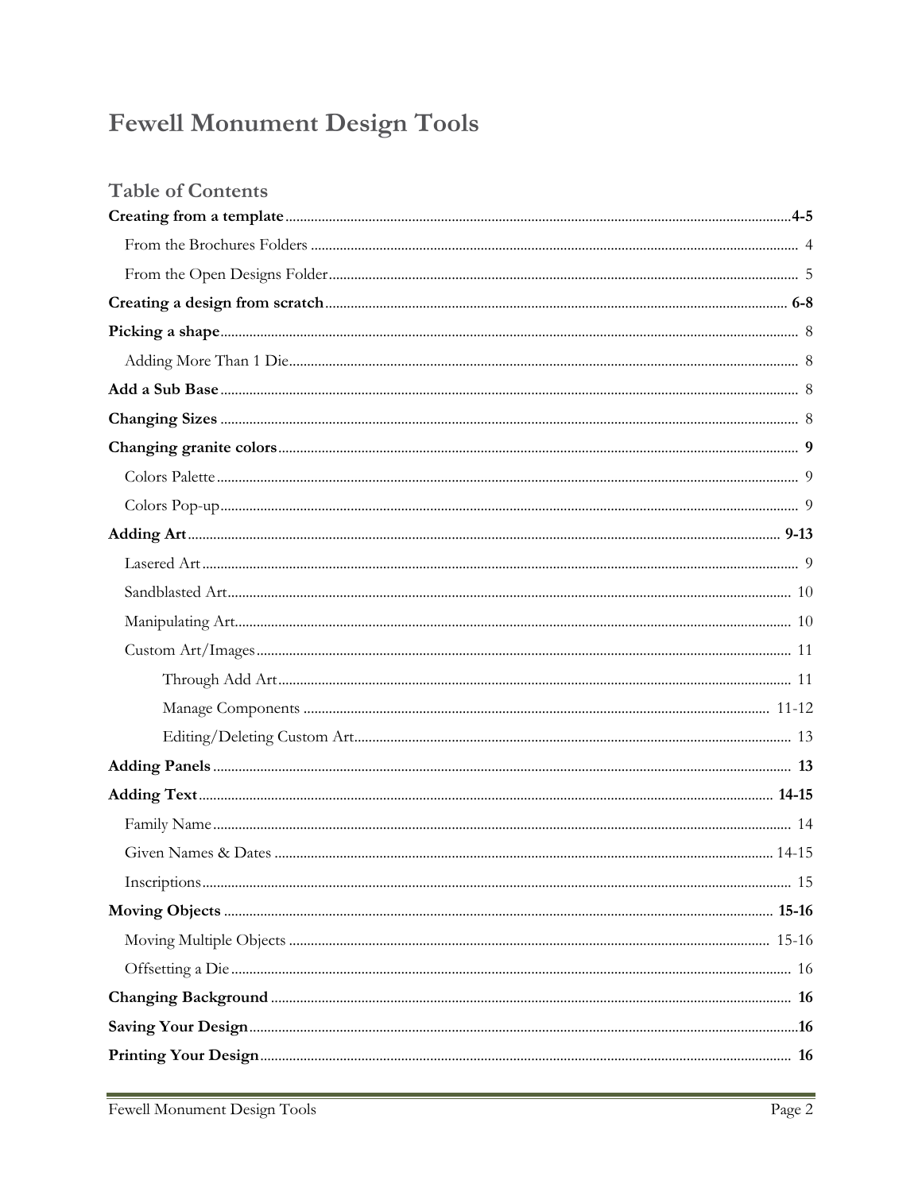# **Fewell Monument Design Tools**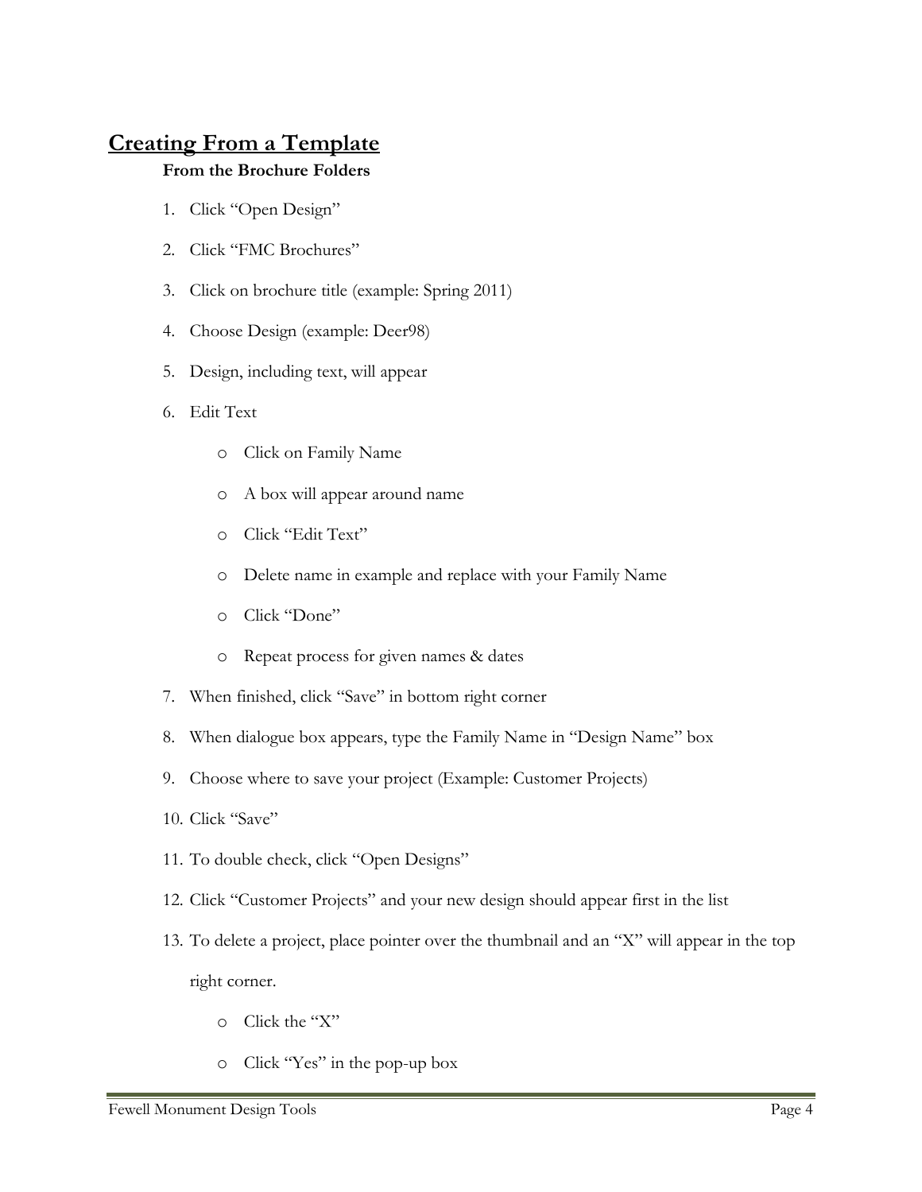# **Creating From a Template**

### **From the Brochure Folders**

- 1. Click "Open Design"
- 2. Click "FMC Brochures"
- 3. Click on brochure title (example: Spring 2011)
- 4. Choose Design (example: Deer98)
- 5. Design, including text, will appear
- 6. Edit Text
	- o Click on Family Name
	- o A box will appear around name
	- o Click "Edit Text"
	- o Delete name in example and replace with your Family Name
	- o Click "Done"
	- o Repeat process for given names & dates
- 7. When finished, click "Save" in bottom right corner
- 8. When dialogue box appears, type the Family Name in "Design Name" box
- 9. Choose where to save your project (Example: Customer Projects)
- 10. Click "Save"
- 11. To double check, click "Open Designs"
- 12. Click "Customer Projects" and your new design should appear first in the list
- 13. To delete a project, place pointer over the thumbnail and an "X" will appear in the top right corner.
	- o Click the "X"
	- o Click "Yes" in the pop-up box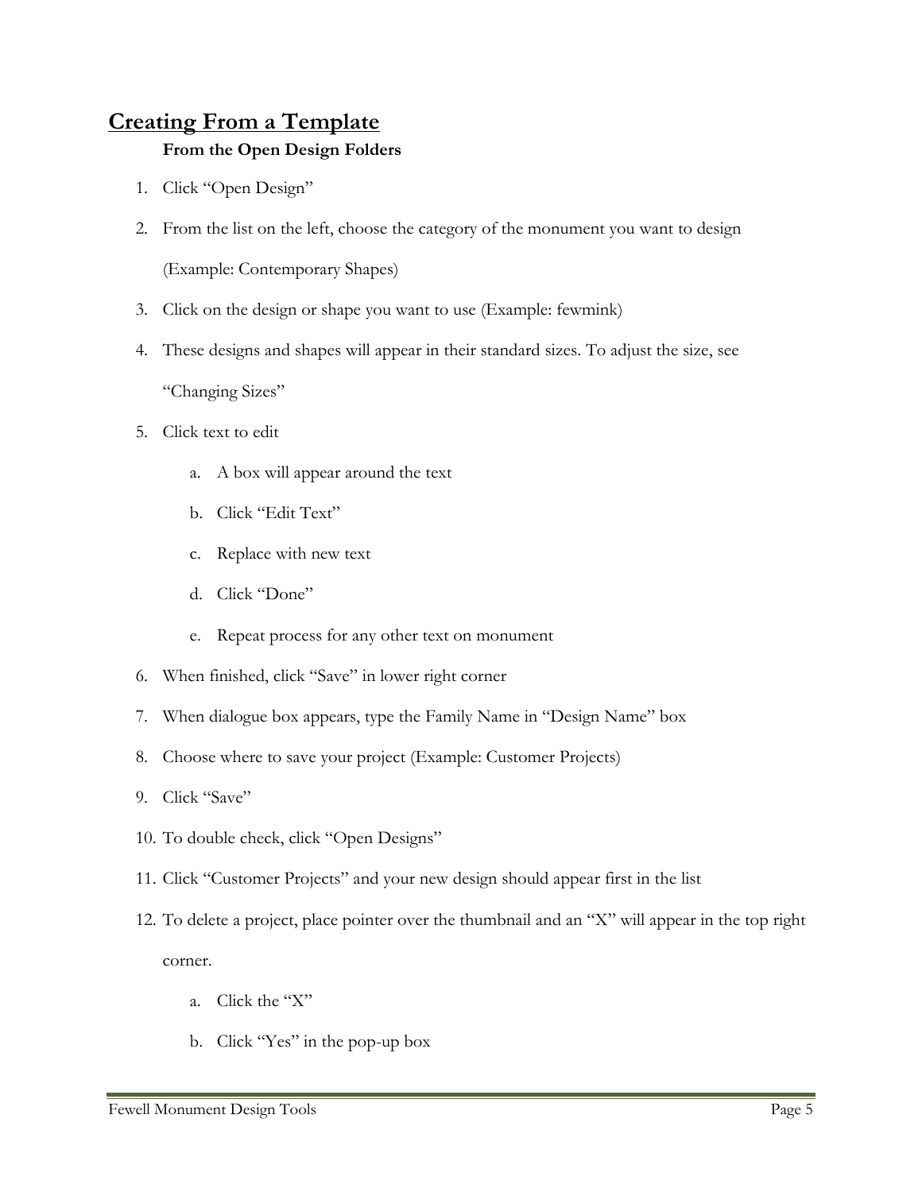# **Creating From a Template**

### **From the Open Design Folders**

- 1. Click "Open Design"
- 2. From the list on the left, choose the category of the monument you want to design

(Example: Contemporary Shapes)

- 3. Click on the design or shape you want to use (Example: fewmink)
- 4. These designs and shapes will appear in their standard sizes. To adjust the size, see "Changing Sizes"
- 5. Click text to edit
	- a. A box will appear around the text
	- b. Click "Edit Text"
	- c. Replace with new text
	- d. Click "Done"
	- e. Repeat process for any other text on monument
- 6. When finished, click "Save" in lower right corner
- 7. When dialogue box appears, type the Family Name in "Design Name" box
- 8. Choose where to save your project (Example: Customer Projects)
- 9. Click "Save"
- 10. To double check, click "Open Designs"
- 11. Click "Customer Projects" and your new design should appear first in the list
- 12. To delete a project, place pointer over the thumbnail and an "X" will appear in the top right corner.
	- a. Click the "X"
	- b. Click "Yes" in the pop-up box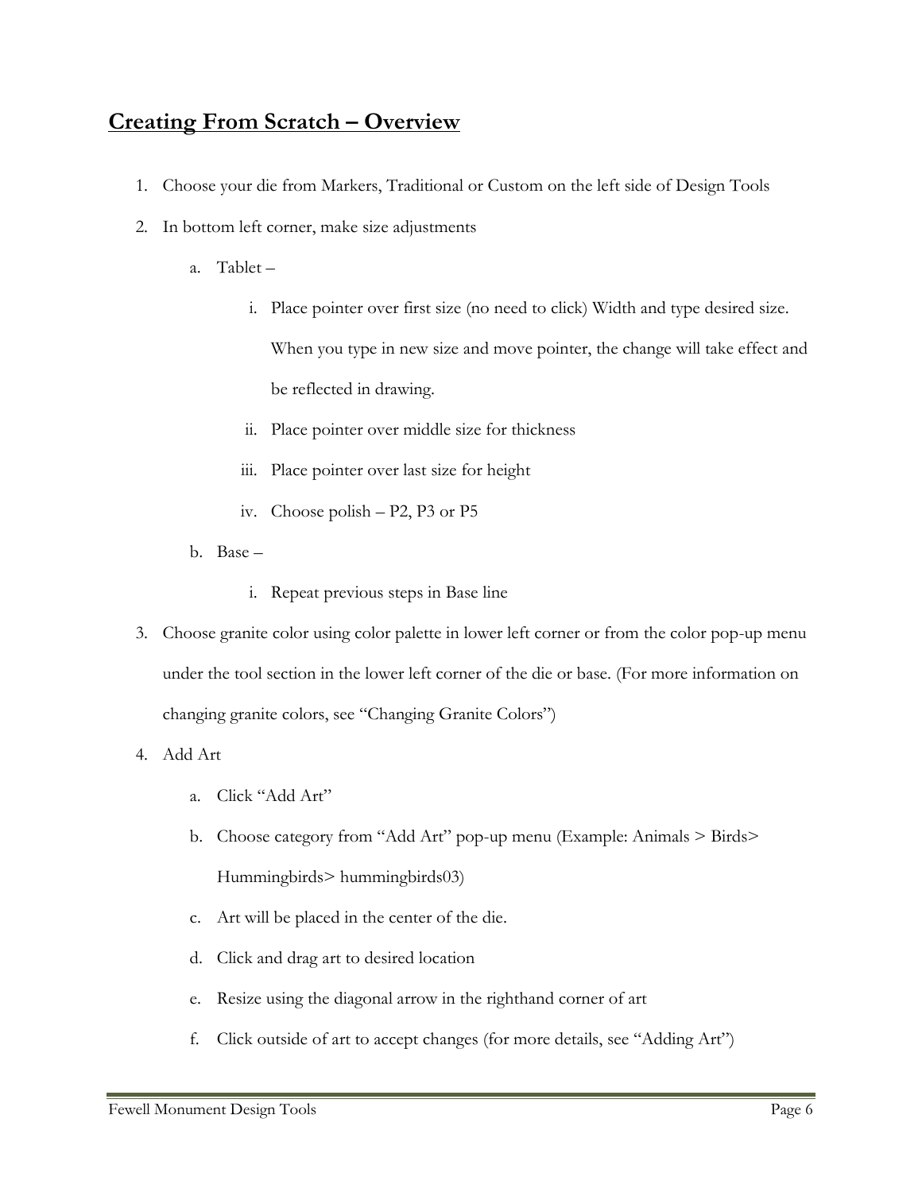# **Creating From Scratch – Overview**

- 1. Choose your die from Markers, Traditional or Custom on the left side of Design Tools
- 2. In bottom left corner, make size adjustments
	- a. Tablet
		- i. Place pointer over first size (no need to click) Width and type desired size. When you type in new size and move pointer, the change will take effect and be reflected in drawing.
		- ii. Place pointer over middle size for thickness
		- iii. Place pointer over last size for height
		- iv. Choose polish P2, P3 or P5
	- b. Base
		- i. Repeat previous steps in Base line
- 3. Choose granite color using color palette in lower left corner or from the color pop-up menu under the tool section in the lower left corner of the die or base. (For more information on changing granite colors, see "Changing Granite Colors")

4. Add Art

- a. Click "Add Art"
- b. Choose category from "Add Art" pop-up menu (Example: Animals > Birds> Hummingbirds> hummingbirds03)
- c. Art will be placed in the center of the die.
- d. Click and drag art to desired location
- e. Resize using the diagonal arrow in the righthand corner of art
- f. Click outside of art to accept changes (for more details, see "Adding Art")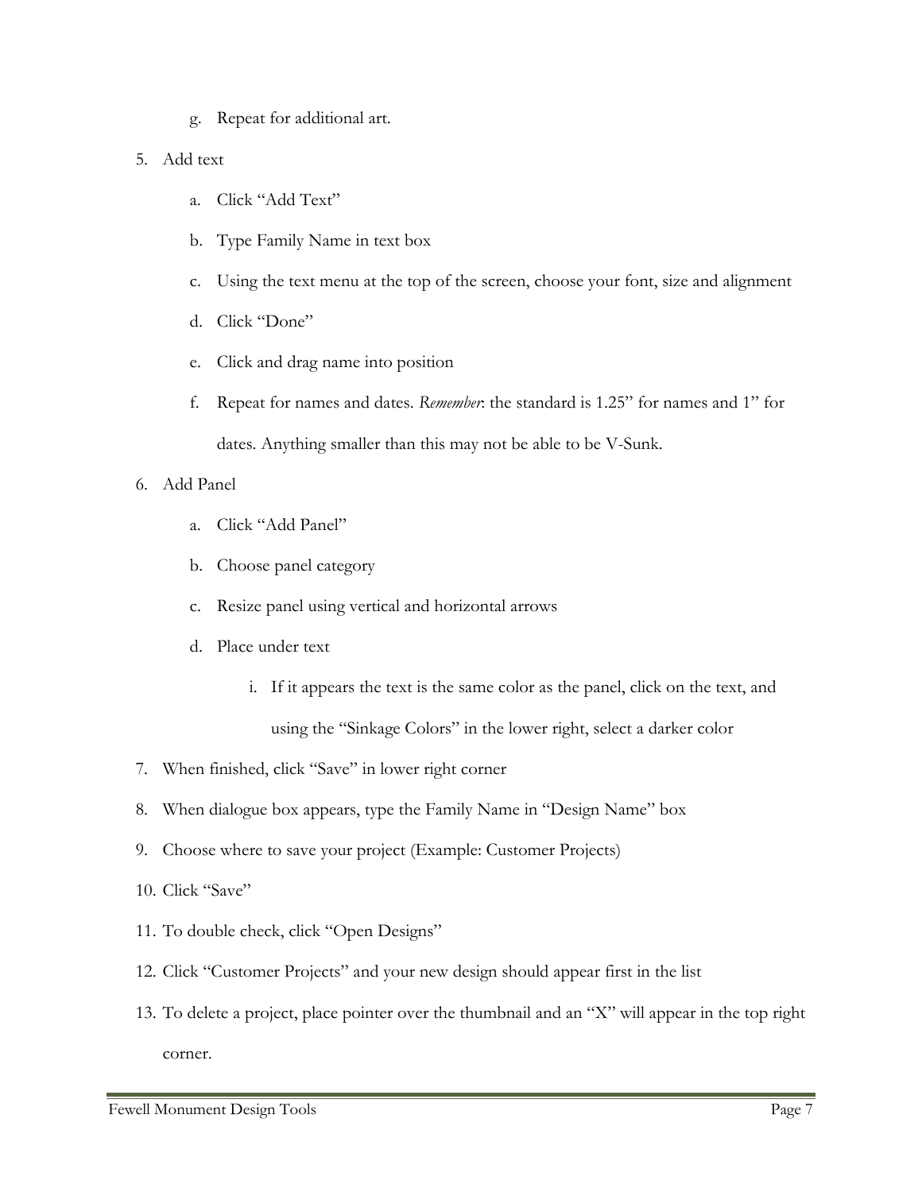g. Repeat for additional art.

### 5. Add text

- a. Click "Add Text"
- b. Type Family Name in text box
- c. Using the text menu at the top of the screen, choose your font, size and alignment
- d. Click "Done"
- e. Click and drag name into position
- f. Repeat for names and dates. *Remember*: the standard is 1.25" for names and 1" for dates. Anything smaller than this may not be able to be V-Sunk.

### 6. Add Panel

- a. Click "Add Panel"
- b. Choose panel category
- c. Resize panel using vertical and horizontal arrows
- d. Place under text
	- i. If it appears the text is the same color as the panel, click on the text, and using the "Sinkage Colors" in the lower right, select a darker color
- 7. When finished, click "Save" in lower right corner
- 8. When dialogue box appears, type the Family Name in "Design Name" box
- 9. Choose where to save your project (Example: Customer Projects)
- 10. Click "Save"
- 11. To double check, click "Open Designs"
- 12. Click "Customer Projects" and your new design should appear first in the list
- 13. To delete a project, place pointer over the thumbnail and an "X" will appear in the top right corner.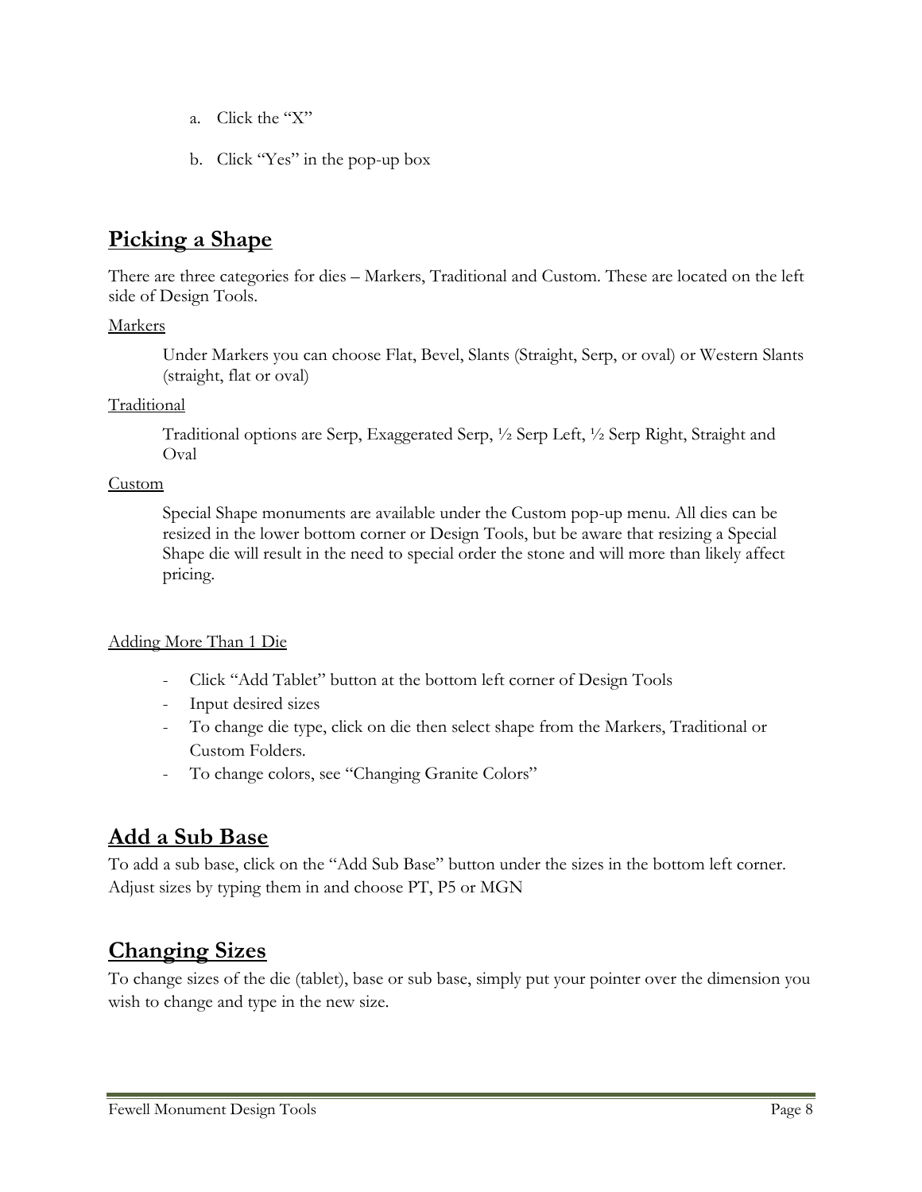- a. Click the "X"
- b. Click "Yes" in the pop-up box

# **Picking a Shape**

There are three categories for dies – Markers, Traditional and Custom. These are located on the left side of Design Tools.

### Markers

Under Markers you can choose Flat, Bevel, Slants (Straight, Serp, or oval) or Western Slants (straight, flat or oval)

### Traditional

Traditional options are Serp, Exaggerated Serp, ½ Serp Left, ½ Serp Right, Straight and Oval

### Custom

Special Shape monuments are available under the Custom pop-up menu. All dies can be resized in the lower bottom corner or Design Tools, but be aware that resizing a Special Shape die will result in the need to special order the stone and will more than likely affect pricing.

### Adding More Than 1 Die

- Click "Add Tablet" button at the bottom left corner of Design Tools
- Input desired sizes
- To change die type, click on die then select shape from the Markers, Traditional or Custom Folders.
- To change colors, see "Changing Granite Colors"

# **Add a Sub Base**

To add a sub base, click on the "Add Sub Base" button under the sizes in the bottom left corner. Adjust sizes by typing them in and choose PT, P5 or MGN

# **Changing Sizes**

To change sizes of the die (tablet), base or sub base, simply put your pointer over the dimension you wish to change and type in the new size.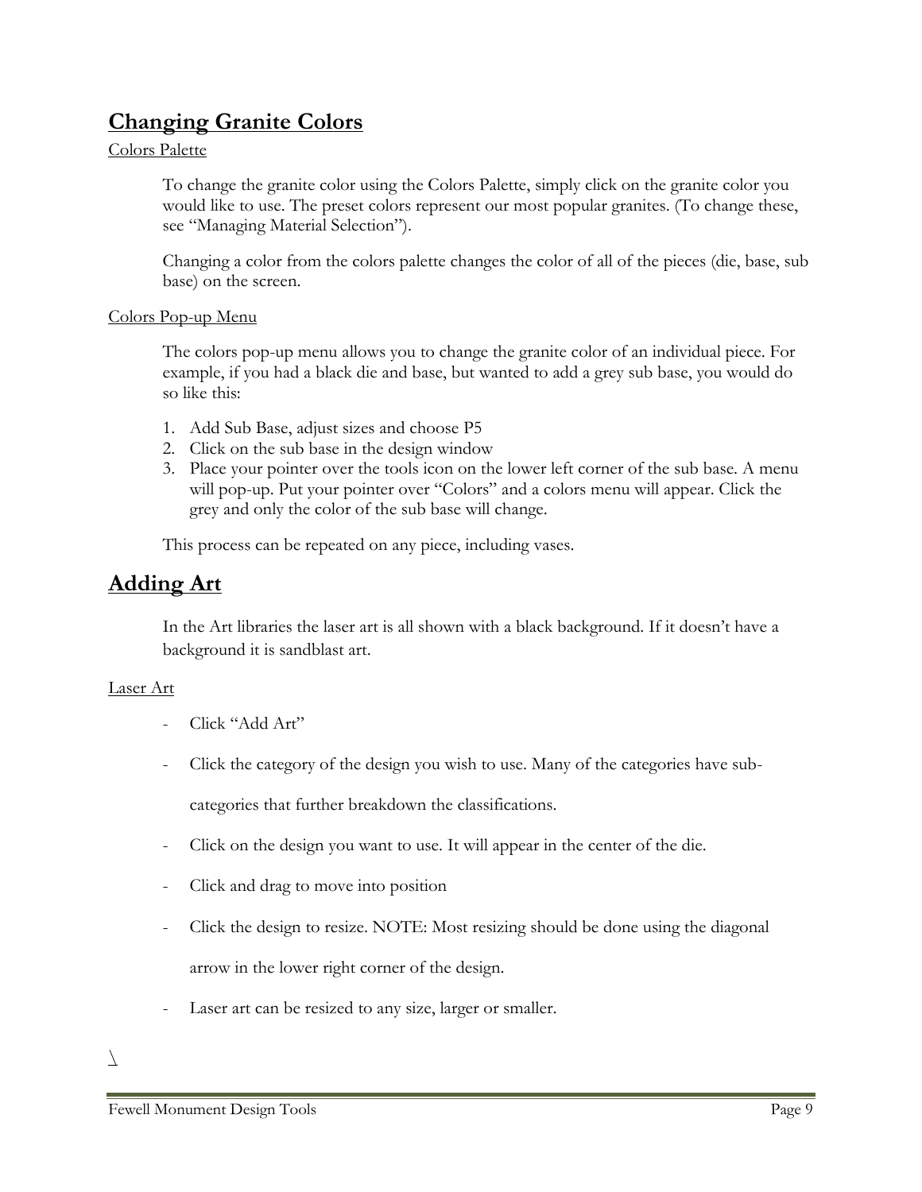# **Changing Granite Colors**

### Colors Palette

To change the granite color using the Colors Palette, simply click on the granite color you would like to use. The preset colors represent our most popular granites. (To change these, see "Managing Material Selection").

Changing a color from the colors palette changes the color of all of the pieces (die, base, sub base) on the screen.

### Colors Pop-up Menu

The colors pop-up menu allows you to change the granite color of an individual piece. For example, if you had a black die and base, but wanted to add a grey sub base, you would do so like this:

- 1. Add Sub Base, adjust sizes and choose P5
- 2. Click on the sub base in the design window
- 3. Place your pointer over the tools icon on the lower left corner of the sub base. A menu will pop-up. Put your pointer over "Colors" and a colors menu will appear. Click the grey and only the color of the sub base will change.

This process can be repeated on any piece, including vases.

# **Adding Art**

In the Art libraries the laser art is all shown with a black background. If it doesn't have a background it is sandblast art.

### Laser Art

- Click "Add Art"
- Click the category of the design you wish to use. Many of the categories have sub-

categories that further breakdown the classifications.

- Click on the design you want to use. It will appear in the center of the die.
- Click and drag to move into position
- Click the design to resize. NOTE: Most resizing should be done using the diagonal arrow in the lower right corner of the design.
- Laser art can be resized to any size, larger or smaller.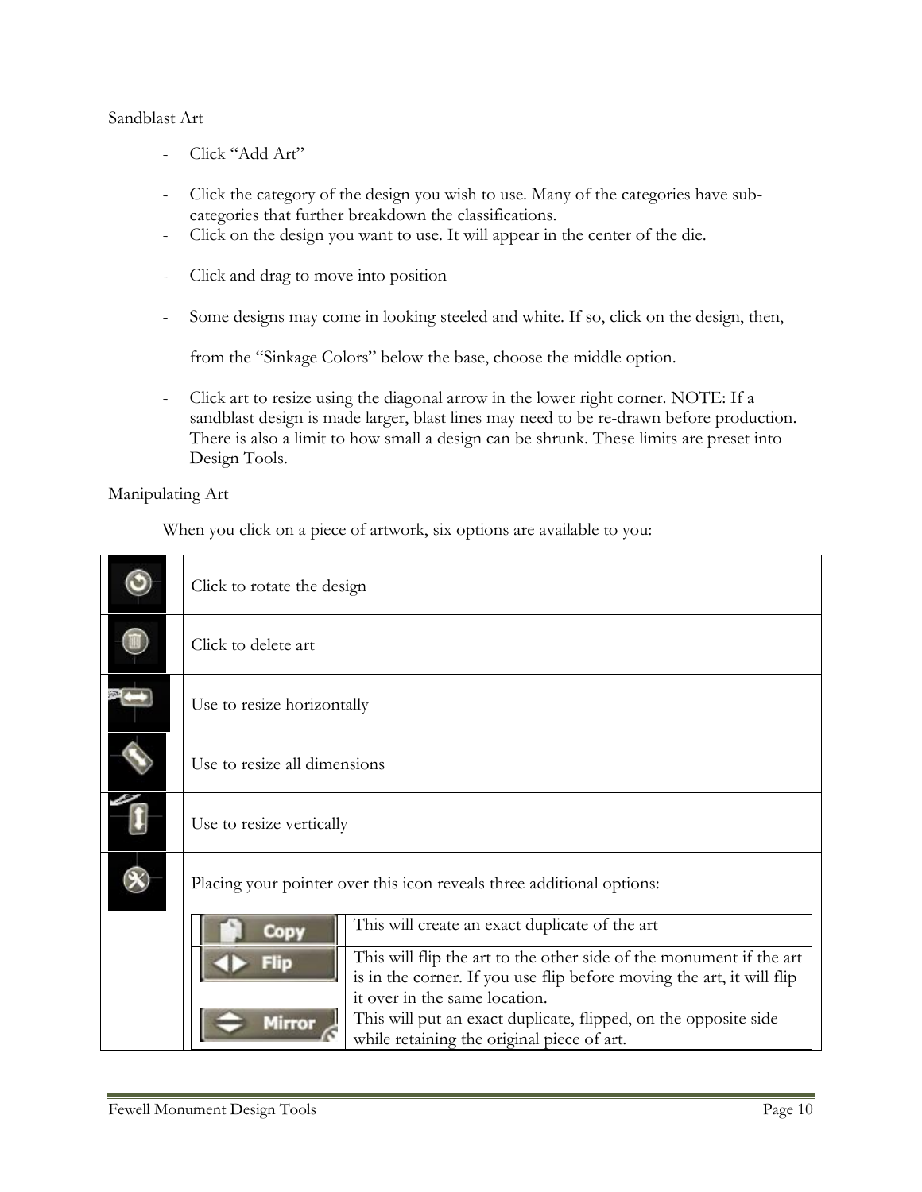### Sandblast Art

- Click "Add Art"
- Click the category of the design you wish to use. Many of the categories have subcategories that further breakdown the classifications.
- Click on the design you want to use. It will appear in the center of the die.
- Click and drag to move into position
- Some designs may come in looking steeled and white. If so, click on the design, then,

from the "Sinkage Colors" below the base, choose the middle option.

- Click art to resize using the diagonal arrow in the lower right corner. NOTE: If a sandblast design is made larger, blast lines may need to be re-drawn before production. There is also a limit to how small a design can be shrunk. These limits are preset into Design Tools.

### Manipulating Art

When you click on a piece of artwork, six options are available to you:

| Click to rotate the design                                            |                                                                       |  |
|-----------------------------------------------------------------------|-----------------------------------------------------------------------|--|
| Click to delete art                                                   |                                                                       |  |
| Use to resize horizontally                                            |                                                                       |  |
| Use to resize all dimensions                                          |                                                                       |  |
| Use to resize vertically                                              |                                                                       |  |
| Placing your pointer over this icon reveals three additional options: |                                                                       |  |
| Copy                                                                  | This will create an exact duplicate of the art                        |  |
|                                                                       | This will flip the art to the other side of the monument if the art   |  |
|                                                                       | is in the corner. If you use flip before moving the art, it will flip |  |
|                                                                       | it over in the same location.                                         |  |
| Mirror                                                                | This will put an exact duplicate, flipped, on the opposite side       |  |
|                                                                       | while retaining the original piece of art.                            |  |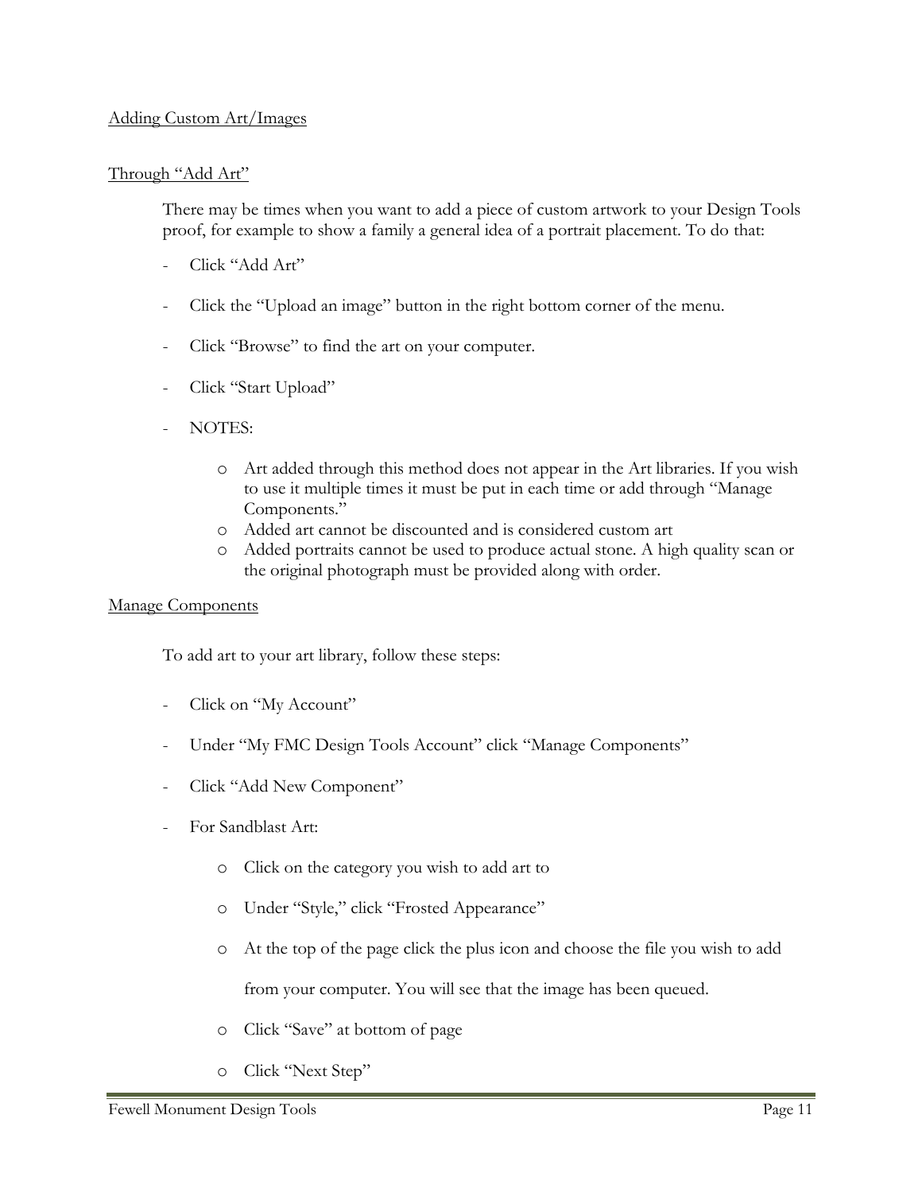### Adding Custom Art/Images

### Through "Add Art"

There may be times when you want to add a piece of custom artwork to your Design Tools proof, for example to show a family a general idea of a portrait placement. To do that:

- Click "Add Art"
- Click the "Upload an image" button in the right bottom corner of the menu.
- Click "Browse" to find the art on your computer.
- Click "Start Upload"
- NOTES:
	- o Art added through this method does not appear in the Art libraries. If you wish to use it multiple times it must be put in each time or add through "Manage Components."
	- o Added art cannot be discounted and is considered custom art
	- o Added portraits cannot be used to produce actual stone. A high quality scan or the original photograph must be provided along with order.

### Manage Components

To add art to your art library, follow these steps:

- Click on "My Account"
- Under "My FMC Design Tools Account" click "Manage Components"
- Click "Add New Component"
- For Sandblast Art:
	- o Click on the category you wish to add art to
	- o Under "Style," click "Frosted Appearance"
	- o At the top of the page click the plus icon and choose the file you wish to add

from your computer. You will see that the image has been queued.

- o Click "Save" at bottom of page
- o Click "Next Step"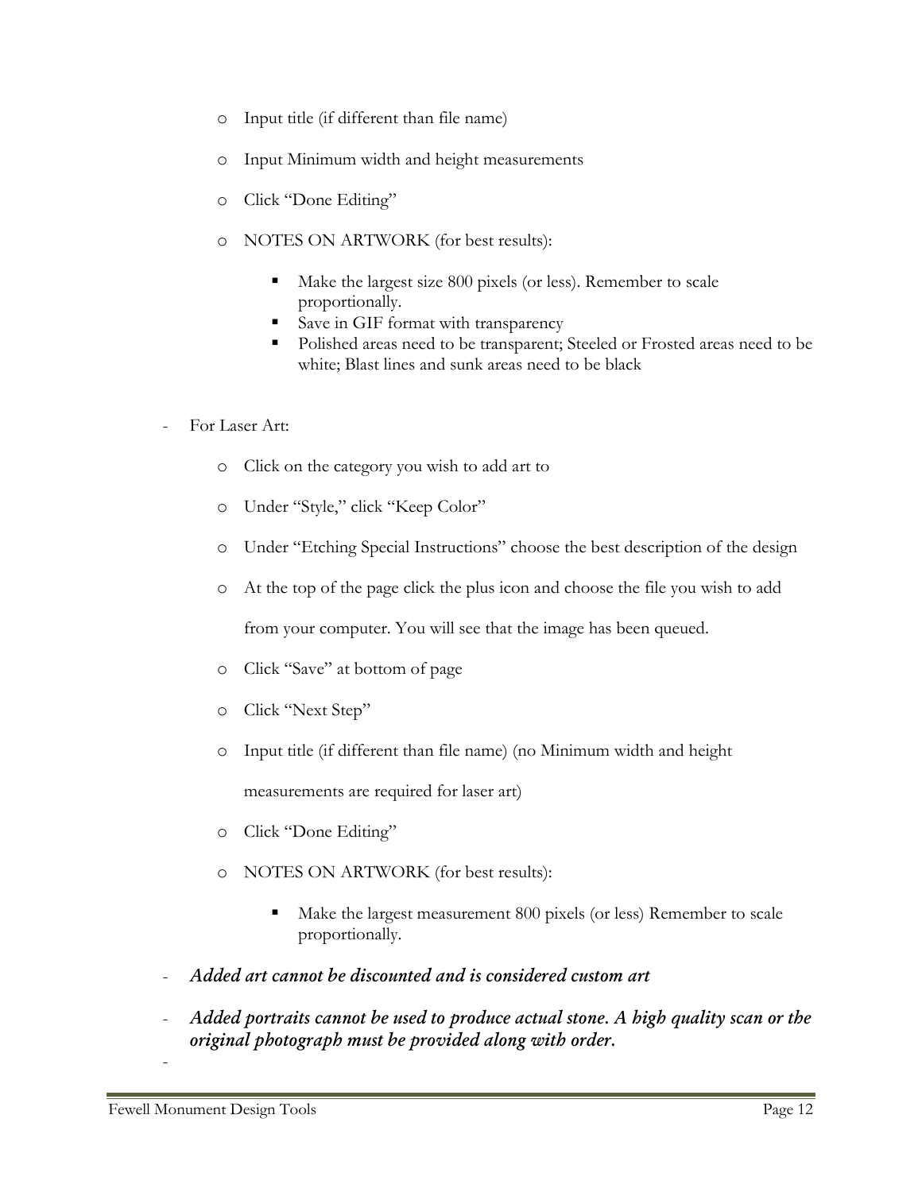- o Input title (if different than file name)
- o Input Minimum width and height measurements
- o Click "Done Editing"
- o NOTES ON ARTWORK (for best results):
	- Make the largest size 800 pixels (or less). Remember to scale proportionally.
	- Save in GIF format with transparency
	- **Polished areas need to be transparent; Steeled or Frosted areas need to be** white; Blast lines and sunk areas need to be black
- For Laser Art:
	- o Click on the category you wish to add art to
	- o Under "Style," click "Keep Color"
	- o Under "Etching Special Instructions" choose the best description of the design
	- o At the top of the page click the plus icon and choose the file you wish to add

from your computer. You will see that the image has been queued.

- o Click "Save" at bottom of page
- o Click "Next Step"
- o Input title (if different than file name) (no Minimum width and height

measurements are required for laser art)

- o Click "Done Editing"
- o NOTES ON ARTWORK (for best results):
	- Make the largest measurement 800 pixels (or less) Remember to scale proportionally.
- *Added art cannot be discounted and is considered custom art*
- *Added portraits cannot be used to produce actual stone. A high quality scan or the original photograph must be provided along with order.*

-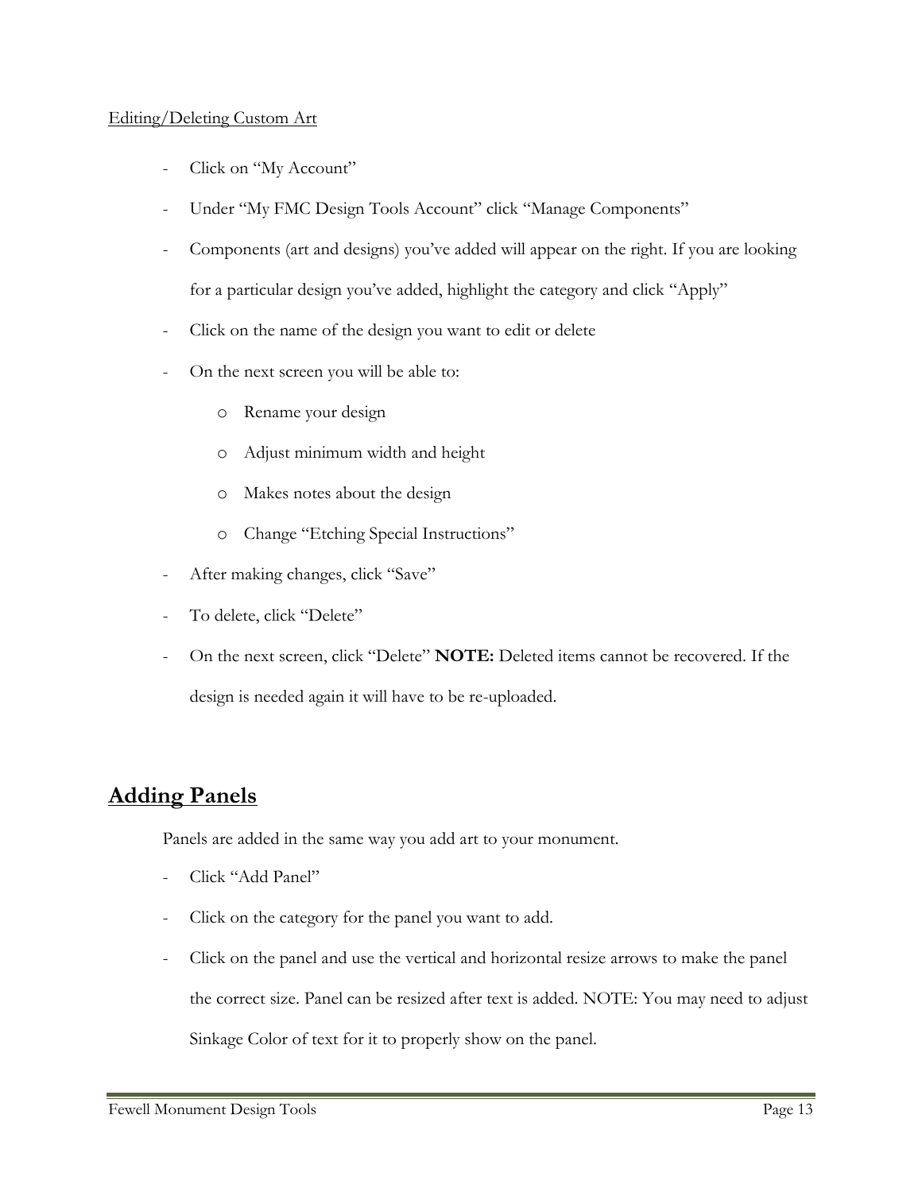### Editing/Deleting Custom Art

- Click on "My Account"
- Under "My FMC Design Tools Account" click "Manage Components"
- Components (art and designs) you've added will appear on the right. If you are looking for a particular design you've added, highlight the category and click "Apply"
- Click on the name of the design you want to edit or delete
- On the next screen you will be able to:
	- o Rename your design
	- o Adjust minimum width and height
	- o Makes notes about the design
	- o Change "Etching Special Instructions"
- After making changes, click "Save"
- To delete, click "Delete"
- On the next screen, click "Delete" **NOTE:** Deleted items cannot be recovered. If the design is needed again it will have to be re-uploaded.

# **Adding Panels**

Panels are added in the same way you add art to your monument.

- Click "Add Panel"
- Click on the category for the panel you want to add.
- Click on the panel and use the vertical and horizontal resize arrows to make the panel the correct size. Panel can be resized after text is added. NOTE: You may need to adjust Sinkage Color of text for it to properly show on the panel.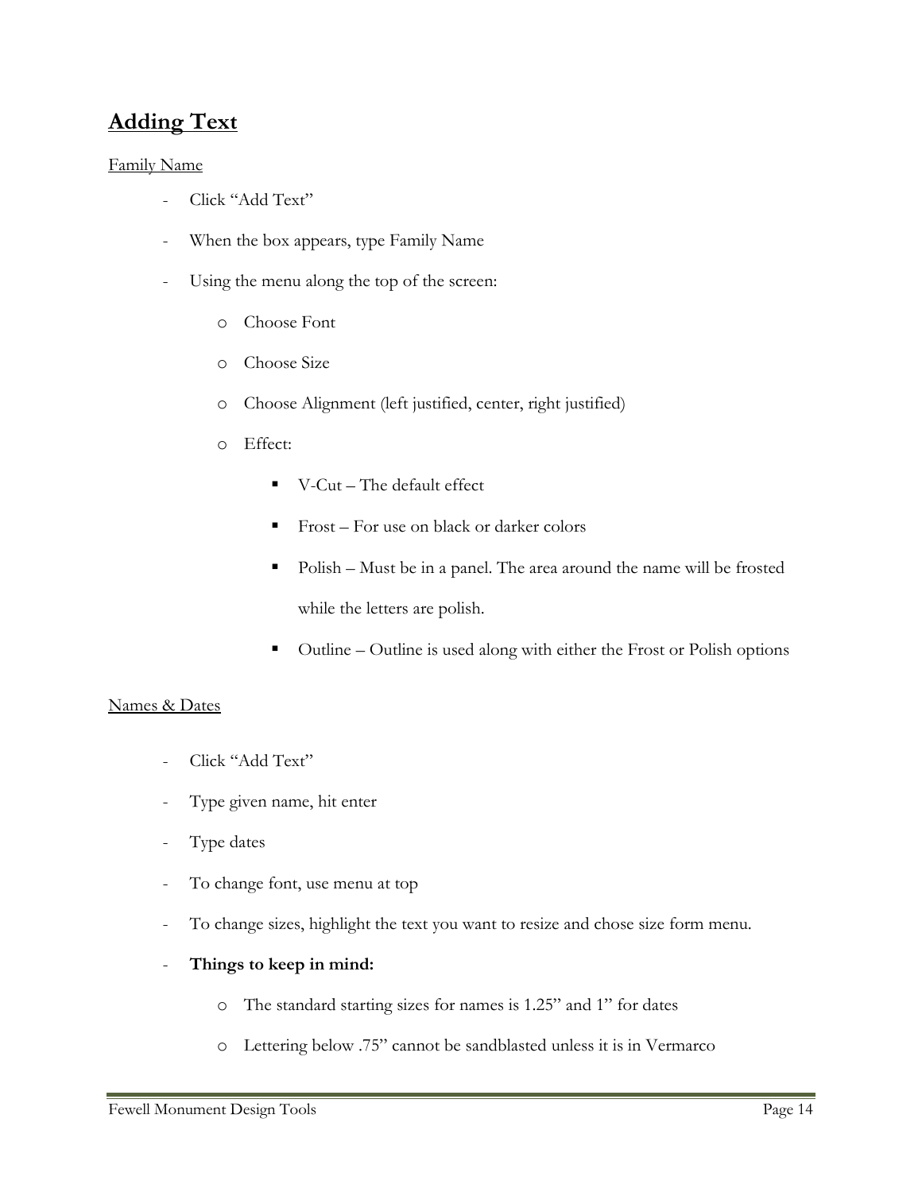# **Adding Text**

### Family Name

- Click "Add Text"
- When the box appears, type Family Name
- Using the menu along the top of the screen:
	- o Choose Font
	- o Choose Size
	- o Choose Alignment (left justified, center, right justified)
	- o Effect:
		- $\blacksquare$  V-Cut The default effect
		- $\blacksquare$  Frost For use on black or darker colors
		- Polish Must be in a panel. The area around the name will be frosted while the letters are polish.
		- Outline Outline is used along with either the Frost or Polish options

### Names & Dates

- Click "Add Text"
- Type given name, hit enter
- Type dates
- To change font, use menu at top
- To change sizes, highlight the text you want to resize and chose size form menu.
- **Things to keep in mind:**
	- o The standard starting sizes for names is 1.25" and 1" for dates
	- o Lettering below .75" cannot be sandblasted unless it is in Vermarco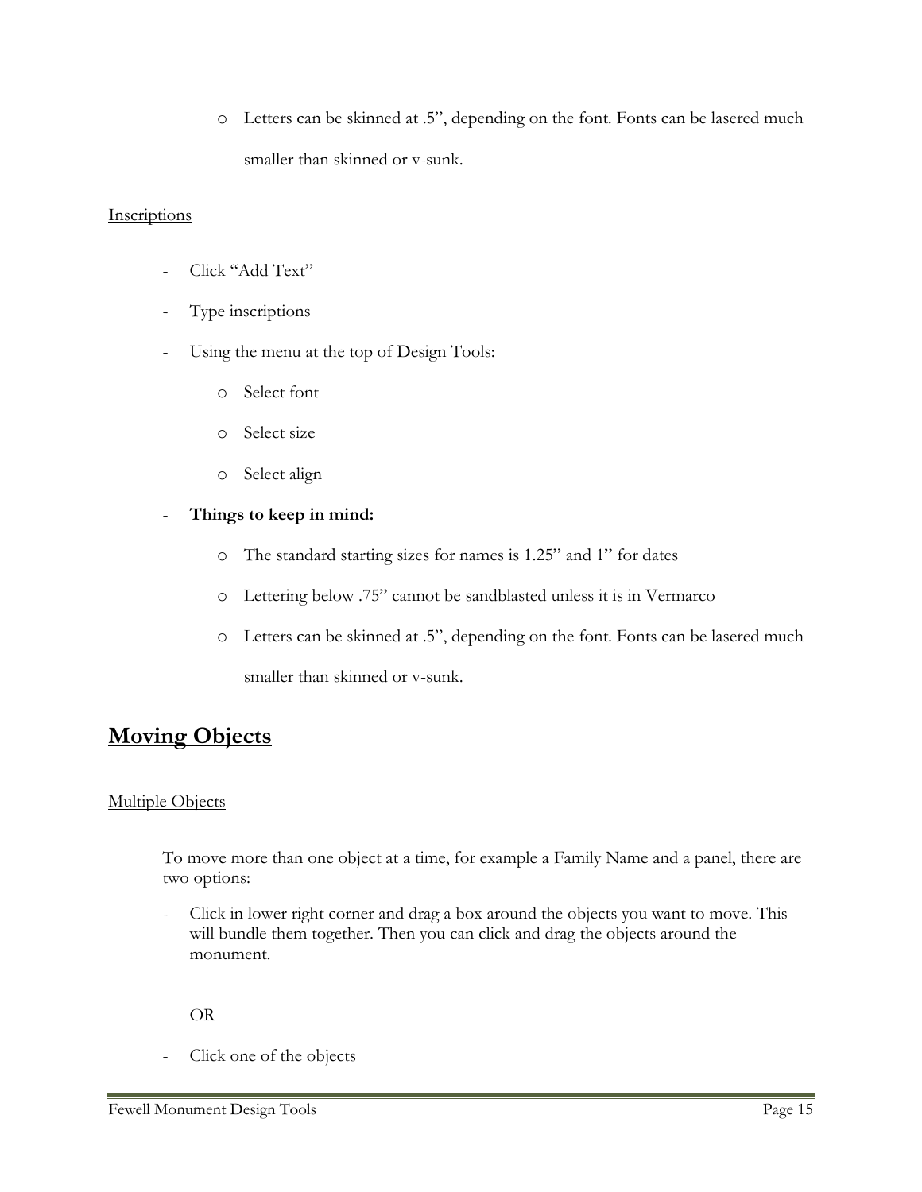o Letters can be skinned at .5", depending on the font. Fonts can be lasered much smaller than skinned or v-sunk.

### **Inscriptions**

- Click "Add Text"
- Type inscriptions
- Using the menu at the top of Design Tools:
	- o Select font
	- o Select size
	- o Select align
- **Things to keep in mind:**
	- o The standard starting sizes for names is 1.25" and 1" for dates
	- o Lettering below .75" cannot be sandblasted unless it is in Vermarco
	- o Letters can be skinned at .5", depending on the font. Fonts can be lasered much smaller than skinned or v-sunk.

# **Moving Objects**

### Multiple Objects

To move more than one object at a time, for example a Family Name and a panel, there are two options:

- Click in lower right corner and drag a box around the objects you want to move. This will bundle them together. Then you can click and drag the objects around the monument.

OR

Click one of the objects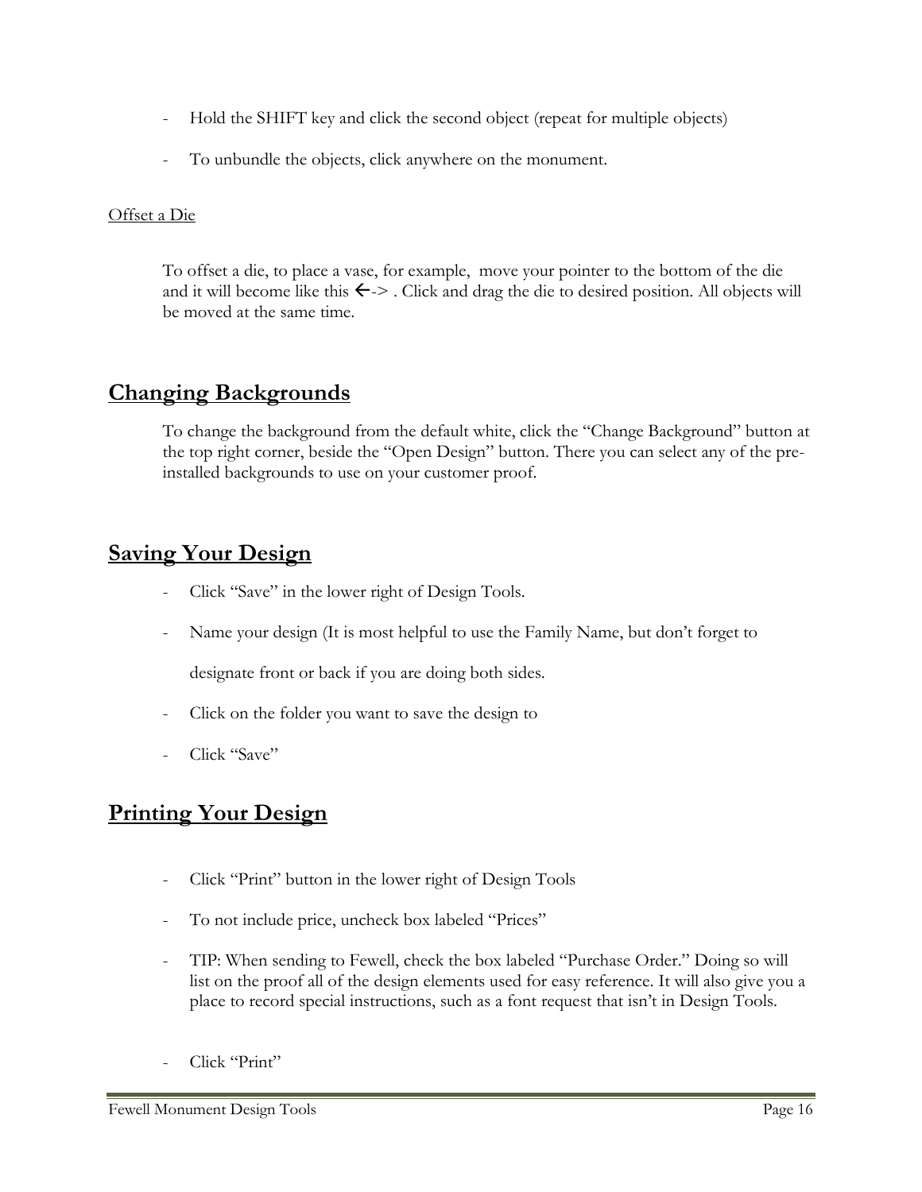- Hold the SHIFT key and click the second object (repeat for multiple objects)
- To unbundle the objects, click anywhere on the monument.

### Offset a Die

To offset a die, to place a vase, for example, move your pointer to the bottom of the die and it will become like this  $\leftarrow$  > . Click and drag the die to desired position. All objects will be moved at the same time.

# **Changing Backgrounds**

To change the background from the default white, click the "Change Background" button at the top right corner, beside the "Open Design" button. There you can select any of the preinstalled backgrounds to use on your customer proof.

# **Saving Your Design**

- Click "Save" in the lower right of Design Tools.
- Name your design (It is most helpful to use the Family Name, but don't forget to

designate front or back if you are doing both sides.

- Click on the folder you want to save the design to
- Click "Save"

# **Printing Your Design**

- Click "Print" button in the lower right of Design Tools
- To not include price, uncheck box labeled "Prices"
- TIP: When sending to Fewell, check the box labeled "Purchase Order." Doing so will list on the proof all of the design elements used for easy reference. It will also give you a place to record special instructions, such as a font request that isn't in Design Tools.
- Click "Print"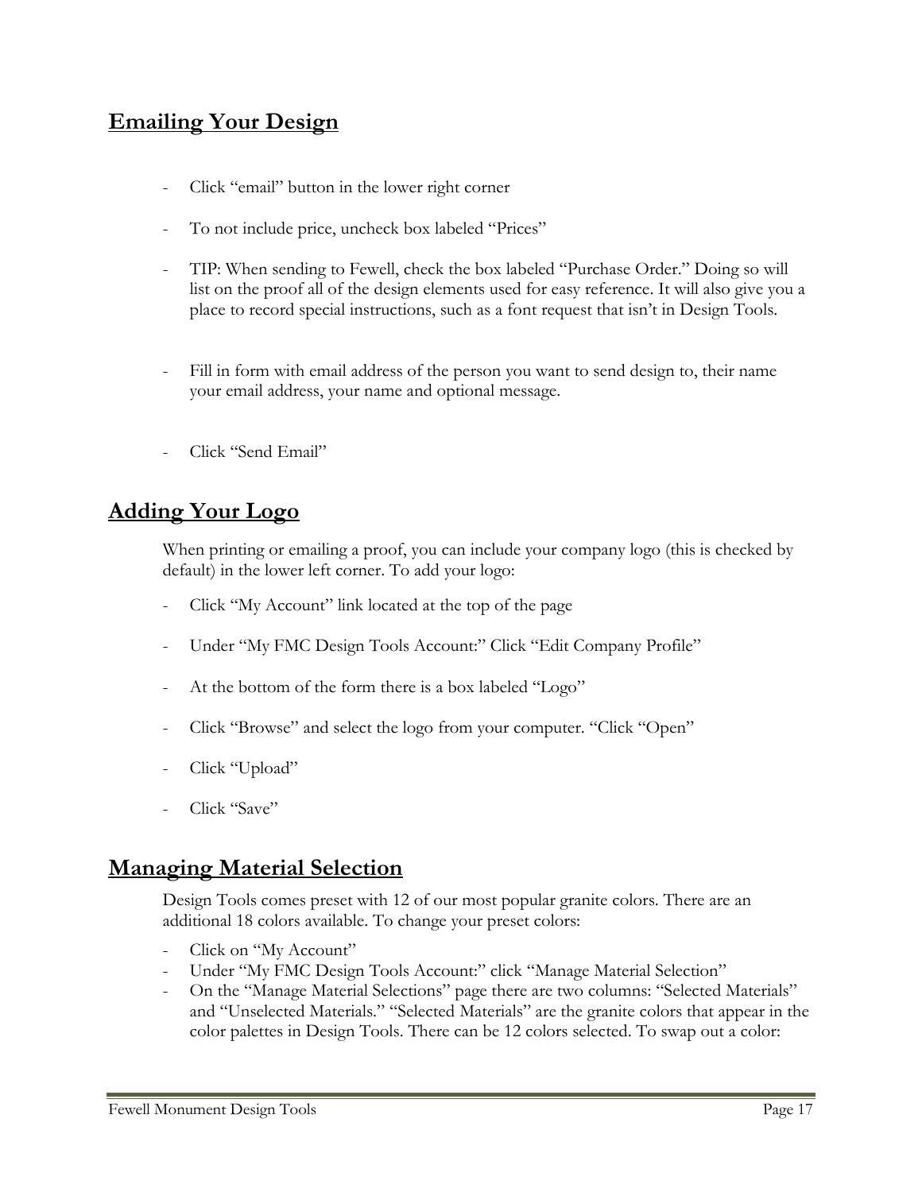# **Emailing Your Design**

- Click "email" button in the lower right corner
- To not include price, uncheck box labeled "Prices"
- TIP: When sending to Fewell, check the box labeled "Purchase Order." Doing so will list on the proof all of the design elements used for easy reference. It will also give you a place to record special instructions, such as a font request that isn't in Design Tools.
- Fill in form with email address of the person you want to send design to, their name your email address, your name and optional message.
- Click "Send Email"

# **Adding Your Logo**

When printing or emailing a proof, you can include your company logo (this is checked by default) in the lower left corner. To add your logo:

- Click "My Account" link located at the top of the page
- Under "My FMC Design Tools Account:" Click "Edit Company Profile"
- At the bottom of the form there is a box labeled "Logo"
- Click "Browse" and select the logo from your computer. "Click "Open"
- Click "Upload"
- Click "Save"

# **Managing Material Selection**

Design Tools comes preset with 12 of our most popular granite colors. There are an additional 18 colors available. To change your preset colors:

- Click on "My Account"
- Under "My FMC Design Tools Account:" click "Manage Material Selection"
- On the "Manage Material Selections" page there are two columns: "Selected Materials" and "Unselected Materials." "Selected Materials" are the granite colors that appear in the color palettes in Design Tools. There can be 12 colors selected. To swap out a color: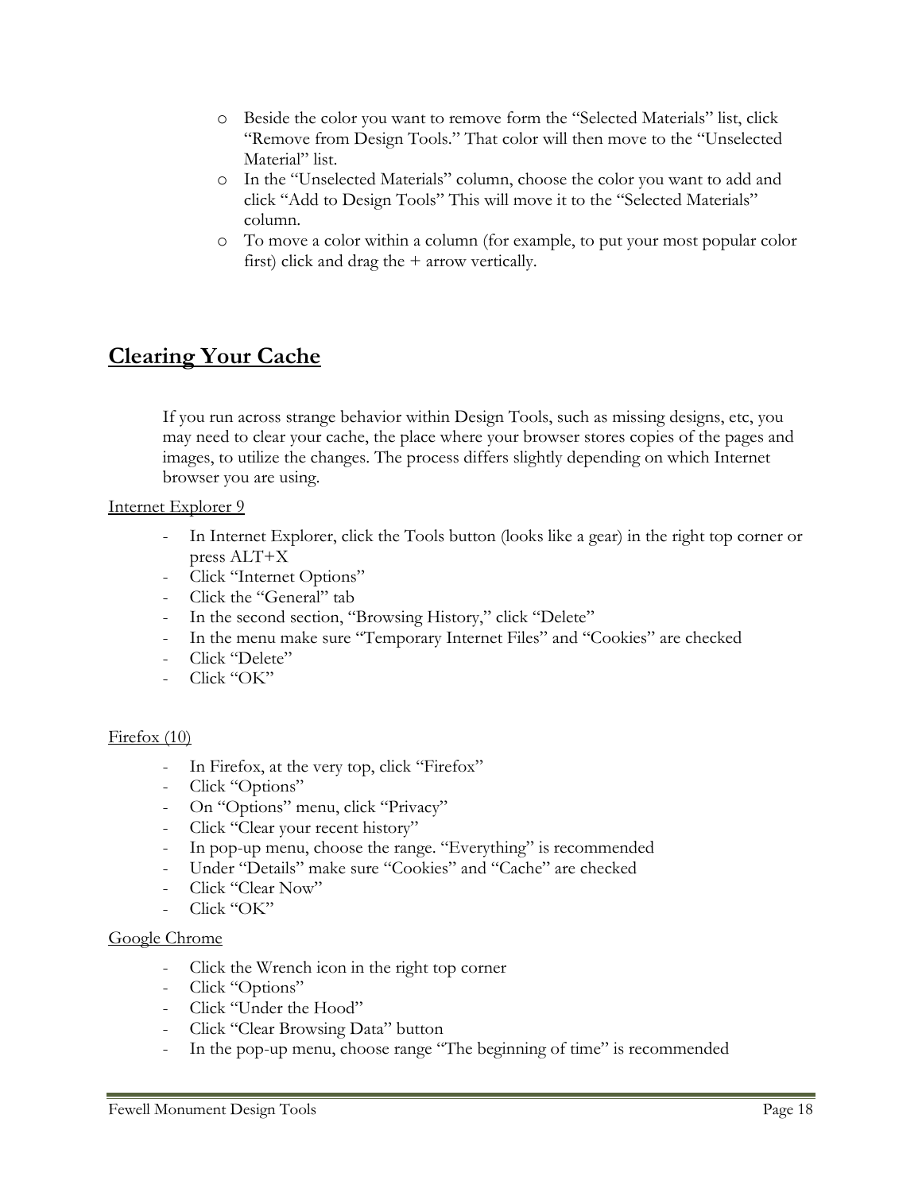- o Beside the color you want to remove form the "Selected Materials" list, click "Remove from Design Tools." That color will then move to the "Unselected Material" list.
- o In the "Unselected Materials" column, choose the color you want to add and click "Add to Design Tools" This will move it to the "Selected Materials" column.
- o To move a color within a column (for example, to put your most popular color first) click and drag the + arrow vertically.

# **Clearing Your Cache**

If you run across strange behavior within Design Tools, such as missing designs, etc, you may need to clear your cache, the place where your browser stores copies of the pages and images, to utilize the changes. The process differs slightly depending on which Internet browser you are using.

### Internet Explorer 9

- In Internet Explorer, click the Tools button (looks like a gear) in the right top corner or press ALT+X
- Click "Internet Options"
- Click the "General" tab
- In the second section, "Browsing History," click "Delete"
- In the menu make sure "Temporary Internet Files" and "Cookies" are checked
- Click "Delete"
- Click "OK"

### Firefox (10)

- In Firefox, at the very top, click "Firefox"
- Click "Options"
- On "Options" menu, click "Privacy"
- Click "Clear your recent history"
- In pop-up menu, choose the range. "Everything" is recommended
- Under "Details" make sure "Cookies" and "Cache" are checked
- Click "Clear Now"
- Click "OK"

### Google Chrome

- Click the Wrench icon in the right top corner
- Click "Options"
- Click "Under the Hood"
- Click "Clear Browsing Data" button
- In the pop-up menu, choose range "The beginning of time" is recommended